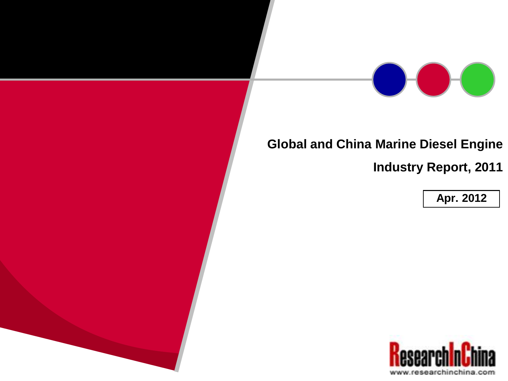

## **Global and China Marine Diesel Engine**

**Industry Report, 2011**

**Apr. 2012**

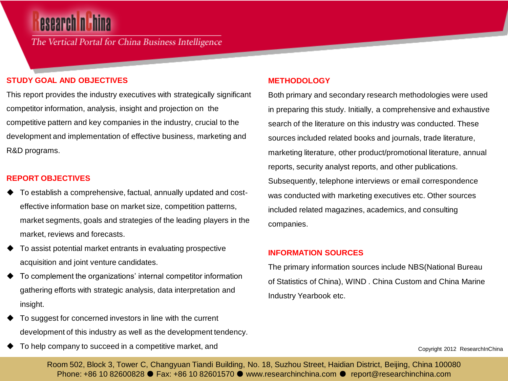# esearch nu hina

The Vertical Portal for China Business Intelligence

#### **STUDY GOAL AND OBJECTIVES**

This report provides the industry executives with strategically significant competitor information, analysis, insight and projection on the competitive pattern and key companies in the industry, crucial to the development and implementation of effective business, marketing and R&D programs.

#### **REPORT OBJECTIVES**

- To establish a comprehensive, factual, annually updated and costeffective information base on market size, competition patterns, market segments, goals and strategies of the leading players in the market, reviews and forecasts.
- To assist potential market entrants in evaluating prospective acquisition and joint venture candidates.
- To complement the organizations' internal competitor information gathering efforts with strategic analysis, data interpretation and insight.
- To suggest for concerned investors in line with the current development of this industry as well as the development tendency.
- To help company to succeed in a competitive market, and

#### **METHODOLOGY**

Both primary and secondary research methodologies were used in preparing this study. Initially, a comprehensive and exhaustive search of the literature on this industry was conducted. These sources included related books and journals, trade literature, marketing literature, other product/promotional literature, annual reports, security analyst reports, and other publications. Subsequently, telephone interviews or email correspondence was conducted with marketing executives etc. Other sources included related magazines, academics, and consulting companies.

#### **INFORMATION SOURCES**

The primary information sources include NBS(National Bureau of Statistics of China), WIND . China Custom and China Marine Industry Yearbook etc.

Copyright 2012 ResearchInChina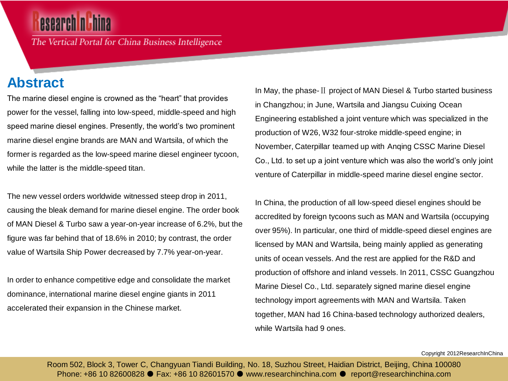## esearch nu hina

The Vertical Portal for China Business Intelligence

## **Abstract**

The marine diesel engine is crowned as the "heart" that provides power for the vessel, falling into low-speed, middle-speed and high speed marine diesel engines. Presently, the world's two prominent marine diesel engine brands are MAN and Wartsila, of which the former is regarded as the low-speed marine diesel engineer tycoon, while the latter is the middle-speed titan.

The new vessel orders worldwide witnessed steep drop in 2011, causing the bleak demand for marine diesel engine. The order book of MAN Diesel & Turbo saw a year-on-year increase of 6.2%, but the figure was far behind that of 18.6% in 2010; by contrast, the order value of Wartsila Ship Power decreased by 7.7% year-on-year.

In order to enhance competitive edge and consolidate the market dominance, international marine diesel engine giants in 2011 accelerated their expansion in the Chinese market.

In May, the phase-Ⅱ project of MAN Diesel & Turbo started business in Changzhou; in June, Wartsila and Jiangsu Cuixing Ocean Engineering established a joint venture which was specialized in the production of W26, W32 four-stroke middle-speed engine; in November, Caterpillar teamed up with Anqing CSSC Marine Diesel Co., Ltd. to set up a joint venture which was also the world's only joint venture of Caterpillar in middle-speed marine diesel engine sector.

In China, the production of all low-speed diesel engines should be accredited by foreign tycoons such as MAN and Wartsila (occupying over 95%). In particular, one third of middle-speed diesel engines are licensed by MAN and Wartsila, being mainly applied as generating units of ocean vessels. And the rest are applied for the R&D and production of offshore and inland vessels. In 2011, CSSC Guangzhou Marine Diesel Co., Ltd. separately signed marine diesel engine technology import agreements with MAN and Wartsila. Taken together, MAN had 16 China-based technology authorized dealers, while Wartsila had 9 ones.

Copyright 2012ResearchInChina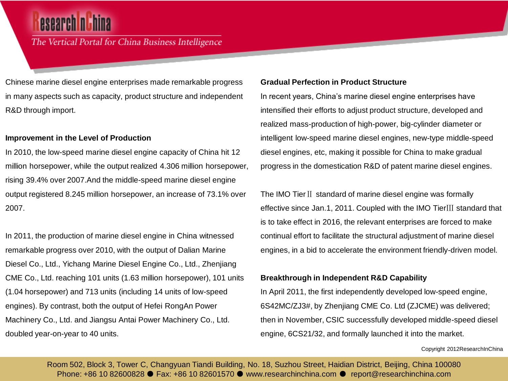# esearch n'hina

### The Vertical Portal for China Business Intelligence

Chinese marine diesel engine enterprises made remarkable progress in many aspects such as capacity, product structure and independent R&D through import.

#### **Improvement in the Level of Production**

In 2010, the low-speed marine diesel engine capacity of China hit 12 million horsepower, while the output realized 4.306 million horsepower, rising 39.4% over 2007.And the middle-speed marine diesel engine output registered 8.245 million horsepower, an increase of 73.1% over 2007.

In 2011, the production of marine diesel engine in China witnessed remarkable progress over 2010, with the output of Dalian Marine Diesel Co., Ltd., Yichang Marine Diesel Engine Co., Ltd., Zhenjiang CME Co., Ltd. reaching 101 units (1.63 million horsepower), 101 units (1.04 horsepower) and 713 units (including 14 units of low-speed engines). By contrast, both the output of Hefei RongAn Power Machinery Co., Ltd. and Jiangsu Antai Power Machinery Co., Ltd. doubled year-on-year to 40 units.

#### **Gradual Perfection in Product Structure**

In recent years, China's marine diesel engine enterprises have intensified their efforts to adjust product structure, developed and realized mass-production of high-power, big-cylinder diameter or intelligent low-speed marine diesel engines, new-type middle-speed diesel engines, etc, making it possible for China to make gradual progress in the domestication R&D of patent marine diesel engines.

The IMO TierⅡ standard of marine diesel engine was formally effective since Jan.1, 2011. Coupled with the IMO TierⅢ standard that is to take effect in 2016, the relevant enterprises are forced to make continual effort to facilitate the structural adjustment of marine diesel engines, in a bid to accelerate the environment friendly-driven model.

#### **Breakthrough in Independent R&D Capability**

In April 2011, the first independently developed low-speed engine, 6S42MC/ZJ3#, by Zhenjiang CME Co. Ltd (ZJCME) was delivered; then in November, CSIC successfully developed middle-speed diesel engine, 6CS21/32, and formally launched it into the market.

Copyright 2012ResearchInChina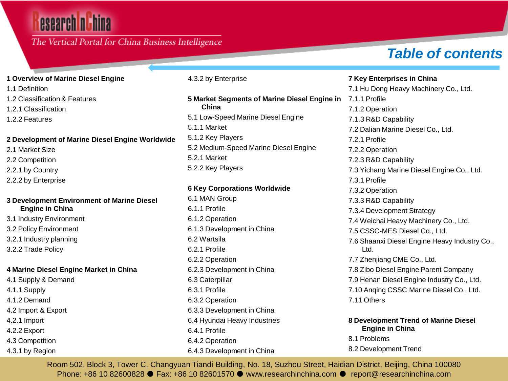# esearch nuhina

### The Vertical Portal for China Business Intelligence

## *Table of contents*

#### **1 Overview of Marine Diesel Engine**

1.1 Definition

1.2 Classification & Features

1.2.1 Classification

1.2.2 Features

#### **2 Development of Marine Diesel Engine Worldwide**

2.1 Market Size

- 2.2 Competition
- 2.2.1 by Country
- 2.2.2 by Enterprise

#### **3 Development Environment of Marine Diesel Engine in China**

3.1 Industry Environment

- 3.2 Policy Environment
- 3.2.1 Industry planning
- 3.2.2 Trade Policy

#### **4 Marine Diesel Engine Market in China**

4.1 Supply & Demand

- 4.1.1 Supply
- 4.1.2 Demand
- 4.2 Import & Export
- 4.2.1 Import
- 4.2.2 Export
- 4.3 Competition
- 4.3.1 by Region

4.3.2 by Enterprise

**5 Market Segments of Marine Diesel Engine in China** 5.1 Low-Speed Marine Diesel Engine 5.1.1 Market 5.1.2 Key Players 5.2 Medium-Speed Marine Diesel Engine 5.2.1 Market 5.2.2 Key Players

#### **6 Key Corporations Worldwide**

6.1 MAN Group 6.1.1 Profile 6.1.2 Operation 6.1.3 Development in China 6.2 Wartsila 6.2.1 Profile 6.2.2 Operation 6.2.3 Development in China 6.3 Caterpillar 6.3.1 Profile 6.3.2 Operation 6.3.3 Development in China 6.4 Hyundai Heavy Industries 6.4.1 Profile 6.4.2 Operation 6.4.3 Development in China

**7 Key Enterprises in China** 7.1 Hu Dong Heavy Machinery Co., Ltd. 7.1.1 Profile 7.1.2 Operation 7.1.3 R&D Capability 7.2 Dalian Marine Diesel Co., Ltd. 7.2.1 Profile 7.2.2 Operation 7.2.3 R&D Capability 7.3 Yichang Marine Diesel Engine Co., Ltd. 7.3.1 Profile 7.3.2 Operation 7.3.3 R&D Capability 7.3.4 Development Strategy 7.4 Weichai Heavy Machinery Co., Ltd. 7.5 CSSC-MES Diesel Co., Ltd. 7.6 Shaanxi Diesel Engine Heavy Industry Co., Ltd. 7.7 Zhenjiang CME Co., Ltd. 7.8 Zibo Diesel Engine Parent Company 7.9 Henan Diesel Engine Industry Co., Ltd. 7.10 Anqing CSSC Marine Diesel Co., Ltd. 7.11 Others

#### **8 Development Trend of Marine Diesel Engine in China**

8.1 Problems 8.2 Development Trend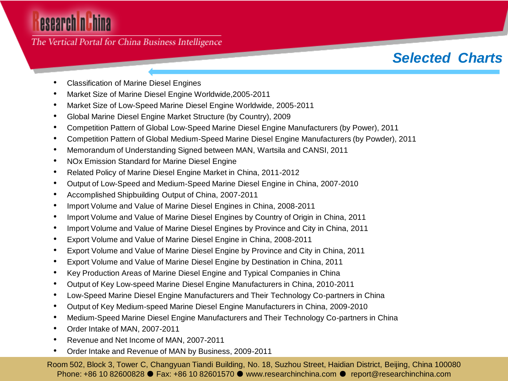# esearch nuhina

### The Vertical Portal for China Business Intelligence

## *Selected Charts*

- Classification of Marine Diesel Engines
- Market Size of Marine Diesel Engine Worldwide,2005-2011
- Market Size of Low-Speed Marine Diesel Engine Worldwide, 2005-2011
- Global Marine Diesel Engine Market Structure (by Country), 2009
- Competition Pattern of Global Low-Speed Marine Diesel Engine Manufacturers (by Power), 2011
- Competition Pattern of Global Medium-Speed Marine Diesel Engine Manufacturers (by Powder), 2011
- Memorandum of Understanding Signed between MAN, Wartsila and CANSI, 2011
- NOx Emission Standard for Marine Diesel Engine
- Related Policy of Marine Diesel Engine Market in China, 2011-2012
- Output of Low-Speed and Medium-Speed Marine Diesel Engine in China, 2007-2010
- Accomplished Shipbuilding Output of China, 2007-2011
- Import Volume and Value of Marine Diesel Engines in China, 2008-2011
- Import Volume and Value of Marine Diesel Engines by Country of Origin in China, 2011
- Import Volume and Value of Marine Diesel Engines by Province and City in China, 2011
- Export Volume and Value of Marine Diesel Engine in China, 2008-2011
- Export Volume and Value of Marine Diesel Engine by Province and City in China, 2011
- Export Volume and Value of Marine Diesel Engine by Destination in China, 2011
- Key Production Areas of Marine Diesel Engine and Typical Companies in China
- Output of Key Low-speed Marine Diesel Engine Manufacturers in China, 2010-2011
- Low-Speed Marine Diesel Engine Manufacturers and Their Technology Co-partners in China
- Output of Key Medium-speed Marine Diesel Engine Manufacturers in China, 2009-2010
- Medium-Speed Marine Diesel Engine Manufacturers and Their Technology Co-partners in China
- Order Intake of MAN, 2007-2011
- Revenue and Net Income of MAN, 2007-2011
- Order Intake and Revenue of MAN by Business, 2009-2011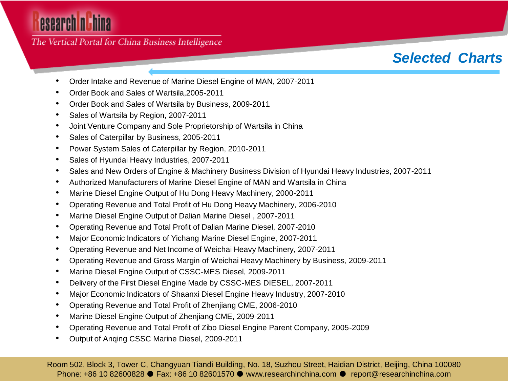# esearch nuhina

The Vertical Portal for China Business Intelligence

## *Selected Charts*

- Order Intake and Revenue of Marine Diesel Engine of MAN, 2007-2011
- Order Book and Sales of Wartsila,2005-2011
- Order Book and Sales of Wartsila by Business, 2009-2011
- Sales of Wartsila by Region, 2007-2011
- Joint Venture Company and Sole Proprietorship of Wartsila in China
- Sales of Caterpillar by Business, 2005-2011
- Power System Sales of Caterpillar by Region, 2010-2011
- Sales of Hyundai Heavy Industries, 2007-2011
- Sales and New Orders of Engine & Machinery Business Division of Hyundai Heavy Industries, 2007-2011
- Authorized Manufacturers of Marine Diesel Engine of MAN and Wartsila in China
- Marine Diesel Engine Output of Hu Dong Heavy Machinery, 2000-2011
- Operating Revenue and Total Profit of Hu Dong Heavy Machinery, 2006-2010
- Marine Diesel Engine Output of Dalian Marine Diesel , 2007-2011
- Operating Revenue and Total Profit of Dalian Marine Diesel, 2007-2010
- Major Economic Indicators of Yichang Marine Diesel Engine, 2007-2011
- Operating Revenue and Net Income of Weichai Heavy Machinery, 2007-2011
- Operating Revenue and Gross Margin of Weichai Heavy Machinery by Business, 2009-2011
- Marine Diesel Engine Output of CSSC-MES Diesel, 2009-2011
- Delivery of the First Diesel Engine Made by CSSC-MES DIESEL, 2007-2011
- Major Economic Indicators of Shaanxi Diesel Engine Heavy Industry, 2007-2010
- Operating Revenue and Total Profit of Zhenjiang CME, 2006-2010
- Marine Diesel Engine Output of Zhenjiang CME, 2009-2011
- Operating Revenue and Total Profit of Zibo Diesel Engine Parent Company, 2005-2009
- Output of Anqing CSSC Marine Diesel, 2009-2011